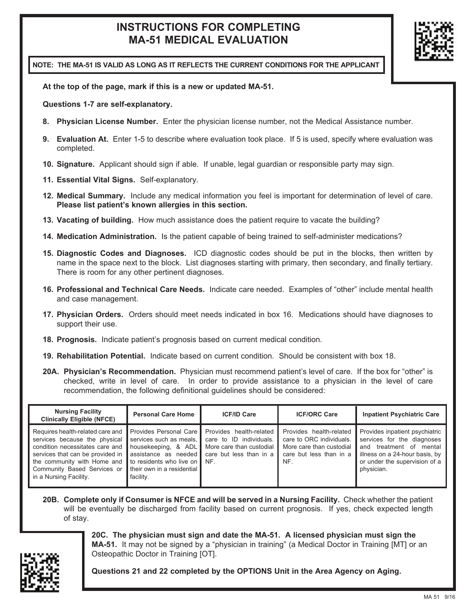## **INSTRUCTIONS FOR COMPLETING MA-51 MEDICAL EVALUATION**



**NOTE: THE MA-51 IS VALID AS LONG AS IT REFLECTS THE CURRENT CONDITIONS FOR THE APPLICANT** 

**At the top of the page, mark if this is a new or updated MA-51.** 

**Questions 1-7 are self-explanatory.** 

- **8. Physician License Number.** Enter the physician license number, not the Medical Assistance number.
- **9. Evaluation At.** Enter 1-5 to describe where evaluation took place. If 5 is used, specify where evaluation was completed.
- **10. Signature.** Applicant should sign if able. If unable, legal guardian or responsible party may sign.
- **11. Essential Vital Signs.** Self-explanatory.
- **12. Medical Summary.** Include any medical information you feel is important for determination of level of care. **Please list patient's known allergies in this section.**
- **13. Vacating of building.** How much assistance does the patient require to vacate the building?
- **14. Medication Administration.** Is the patient capable of being trained to self-administer medications?
- **15. Diagnostic Codes and Diagnoses.** ICD diagnostic codes should be put in the blocks, then written by name in the space next to the block. List diagnoses starting with primary, then secondary, and finally tertiary. There is room for any other pertinent diagnoses.
- **16. Professional and Technical Care Needs.** Indicate care needed. Examples of "other" include mental health and case management.
- **17. Physician Orders.** Orders should meet needs indicated in box 16. Medications should have diagnoses to support their use.
- **18. Prognosis.** Indicate patient's prognosis based on current medical condition.
- **19. Rehabilitation Potential.** Indicate based on current condition. Should be consistent with box 18.
- **20A. Physician's Recommendation.** Physician must recommend patient's level of care. If the box for "other" is checked, write in level of care. In order to provide assistance to a physician in the level of care recommendation, the following definitional guidelines should be considered:

| <b>Nursing Facility</b><br><b>Clinically Eligible (NFCE)</b>                                                                                                                                                                                                                                                                                                  | <b>Personal Care Home</b>         | <b>ICF/ID Care</b>                                                                                               | <b>ICF/ORC Care</b>                                                                                               | <b>Inpatient Psychiatric Care</b>                                                                                                                                        |
|---------------------------------------------------------------------------------------------------------------------------------------------------------------------------------------------------------------------------------------------------------------------------------------------------------------------------------------------------------------|-----------------------------------|------------------------------------------------------------------------------------------------------------------|-------------------------------------------------------------------------------------------------------------------|--------------------------------------------------------------------------------------------------------------------------------------------------------------------------|
| Requires health-related care and Provides Personal Care<br>services because the physical services such as meals.<br>condition necessitates care and I housekeeping, & ADL I<br>services that can be provided in<br>the community with Home and to residents who live on<br>Community Based Services or I their own in a residential<br>in a Nursing Facility. | assistance as needed<br>facility. | Provides health-related<br>care to ID individuals.<br>More care than custodial<br>care but less than in a<br>NF. | Provides health-related<br>care to ORC individuals.<br>More care than custodial<br>care but less than in a<br>NF. | Provides inpatient psychiatric<br>services for the diagnoses<br>and treatment of mental<br>illness on a 24-hour basis, by<br>or under the supervision of a<br>physician. |

**20B. Complete only if Consumer is NFCE and will be served in a Nursing Facility.** Check whether the patient will be eventually be discharged from facility based on current prognosis. If yes, check expected length of stay.



**20C. The physician must sign and date the MA-51. A licensed physician must sign the MA-51.** It may not be signed by a "physician in training" (a Medical Doctor in Training [MT] or an Osteopathic Doctor in Training [OT].

**Questions 21 and 22 completed by the OPTIONS Unit in the Area Agency on Aging.**